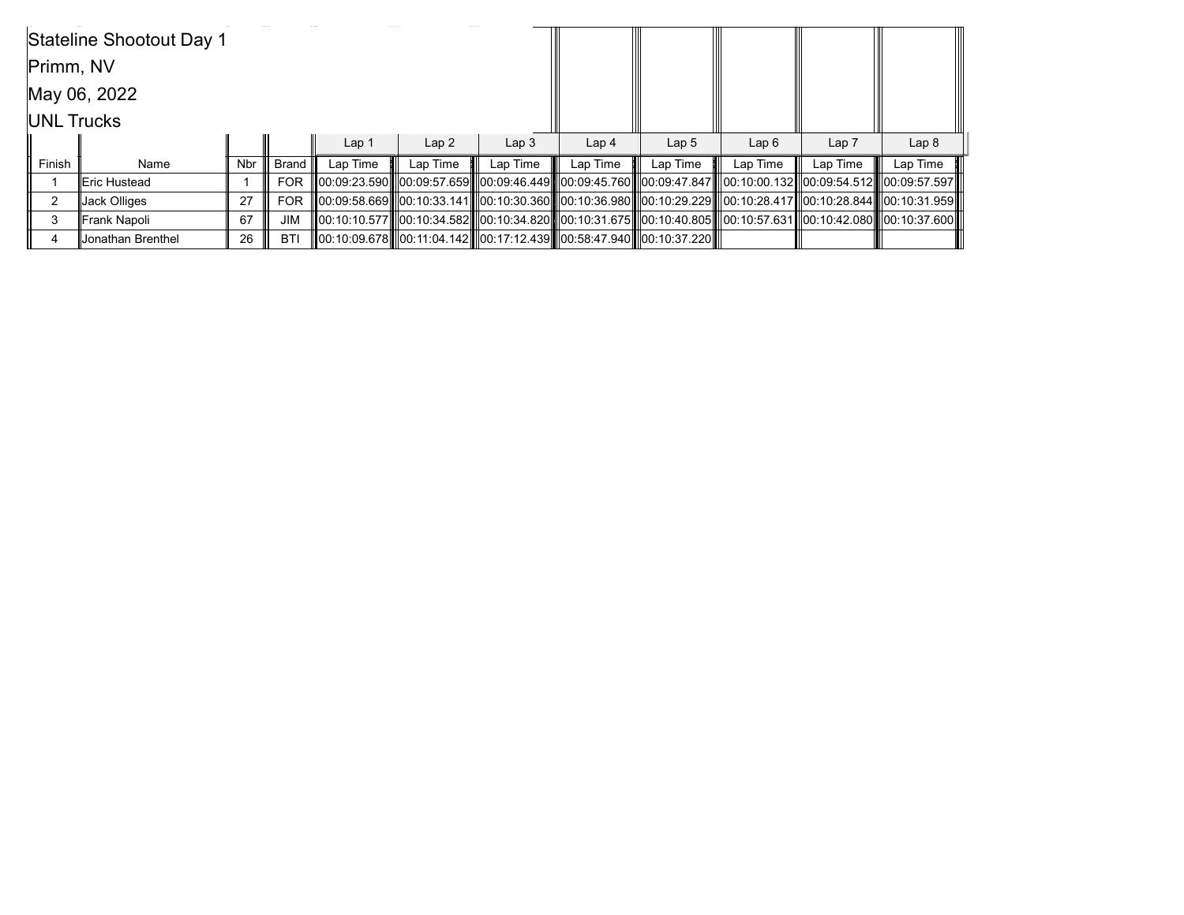|                   | Stateline Shootout Day 1 |            |            |                                                                      |          |                  |                  |                  |                                                                                                                                  |          |                  |
|-------------------|--------------------------|------------|------------|----------------------------------------------------------------------|----------|------------------|------------------|------------------|----------------------------------------------------------------------------------------------------------------------------------|----------|------------------|
| Primm, NV         |                          |            |            |                                                                      |          |                  |                  |                  |                                                                                                                                  |          |                  |
|                   | May 06, 2022             |            |            |                                                                      |          |                  |                  |                  |                                                                                                                                  |          |                  |
| <b>UNL Trucks</b> |                          |            |            |                                                                      |          |                  |                  |                  |                                                                                                                                  |          |                  |
|                   |                          |            |            | Lap <sub>1</sub>                                                     | Lap2     | Lap <sub>3</sub> | Lap <sub>4</sub> | Lap <sub>5</sub> | Lap6                                                                                                                             | Lap 7    | Lap <sub>8</sub> |
| Finish            | Name                     | <b>Nbr</b> | Brand I    | Lap Time                                                             | Lap Time | Lap Time         | Lap Time         | Lap Time         | Lap Time                                                                                                                         | Lap Time | Lap Time         |
|                   | lEric Hustead            |            | <b>FOR</b> |                                                                      |          |                  |                  |                  | 00:09:23.590  00:09:57.659  00:09:46.449  00:09:45.760   00:09:47.847   00:10:00.132  00:09:54.512   00:09:57.597                |          |                  |
| 2                 | Jack Olliges             | 27         | <b>FOR</b> |                                                                      |          |                  |                  |                  | 00:09:58.669   00:10:33.141   00:10:30.360   00:10:36.980   00:10:29.229   00:10:28.417  00:10:28.844   00:10:31.959             |          |                  |
| 3                 | Frank Napoli             | 67         | <b>JIM</b> |                                                                      |          |                  |                  |                  | III00:10:10.577III00:10:34.582IIII00:10:34.820IIII00:10:31.675IIII00:10:40.805IIII00:10:57.631III00:10:42.080IIII00:10:37.600III |          |                  |
|                   | Jonathan Brenthel        | 26         | <b>BTI</b> | 00:10:09.678  00:11:04.142  00:17:12.439  00:58:47.940  00:10:37.220 |          |                  |                  |                  |                                                                                                                                  |          |                  |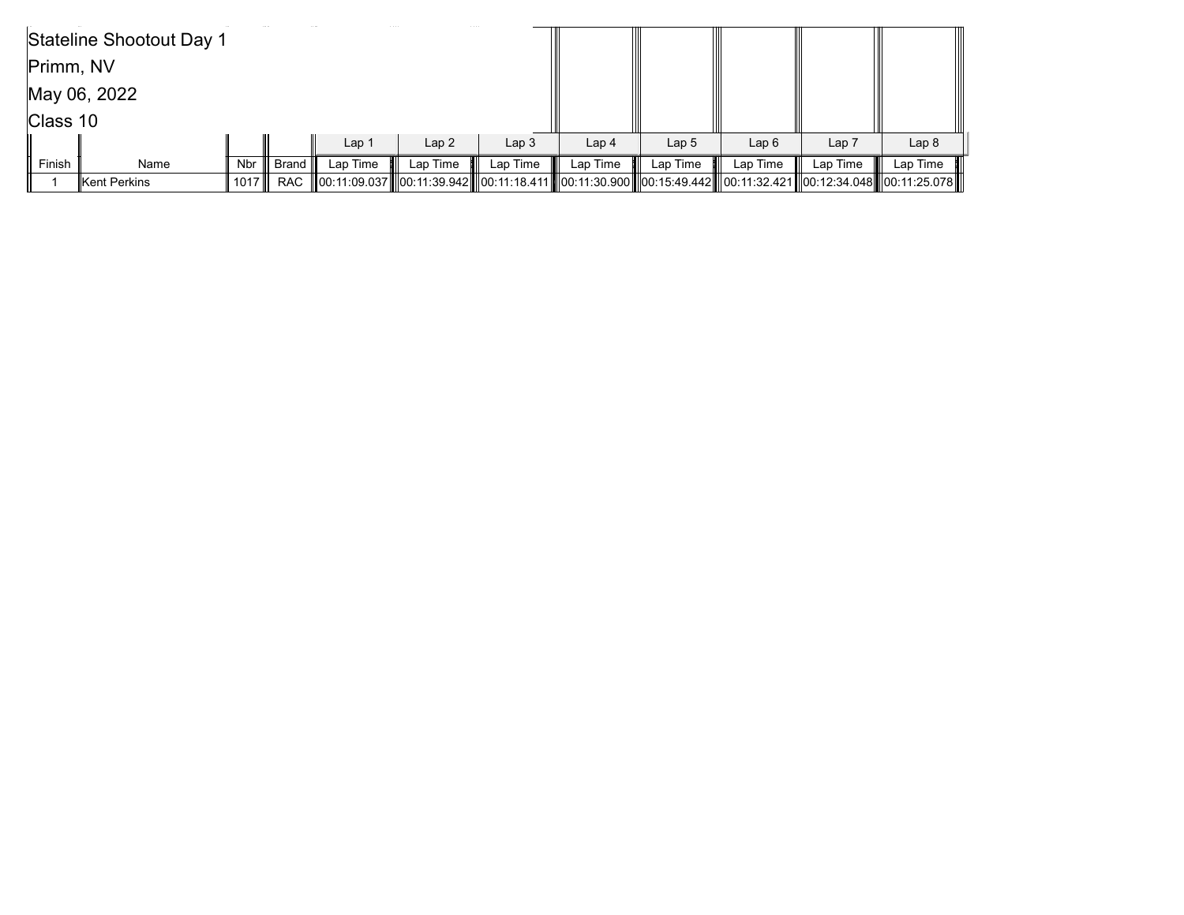|           | Stateline Shootout Day 1 |         |            |                  |          |                  |                                                                                                                |                  |          |                  |                  |
|-----------|--------------------------|---------|------------|------------------|----------|------------------|----------------------------------------------------------------------------------------------------------------|------------------|----------|------------------|------------------|
| Primm, NV |                          |         |            |                  |          |                  |                                                                                                                |                  |          |                  |                  |
|           | May 06, 2022             |         |            |                  |          |                  |                                                                                                                |                  |          |                  |                  |
| Class 10  |                          |         |            |                  |          |                  |                                                                                                                |                  |          |                  |                  |
|           |                          |         |            | Lap <sub>1</sub> | Lap2     | Lap <sub>3</sub> | Lap <sub>4</sub>                                                                                               | Lap <sub>5</sub> | Lap6     | Lap <sub>7</sub> | Lap <sub>8</sub> |
| Finish    | Name                     | Nbr III | ∥ Brand I  | Lap Time         | Lap Time | Lap Time         | Lap Time                                                                                                       | Lap Time         | Lap Time | Lap Time         | Lap Time         |
|           | Kent Perkins             | 1017    | <b>RAC</b> |                  |          |                  | 00:11:09.037  00:11:39.942  00:11:18.411  00:11:30.900  00:15:49.442  00:11:32.421  00:12:34.048  00:11:25.078 |                  |          |                  |                  |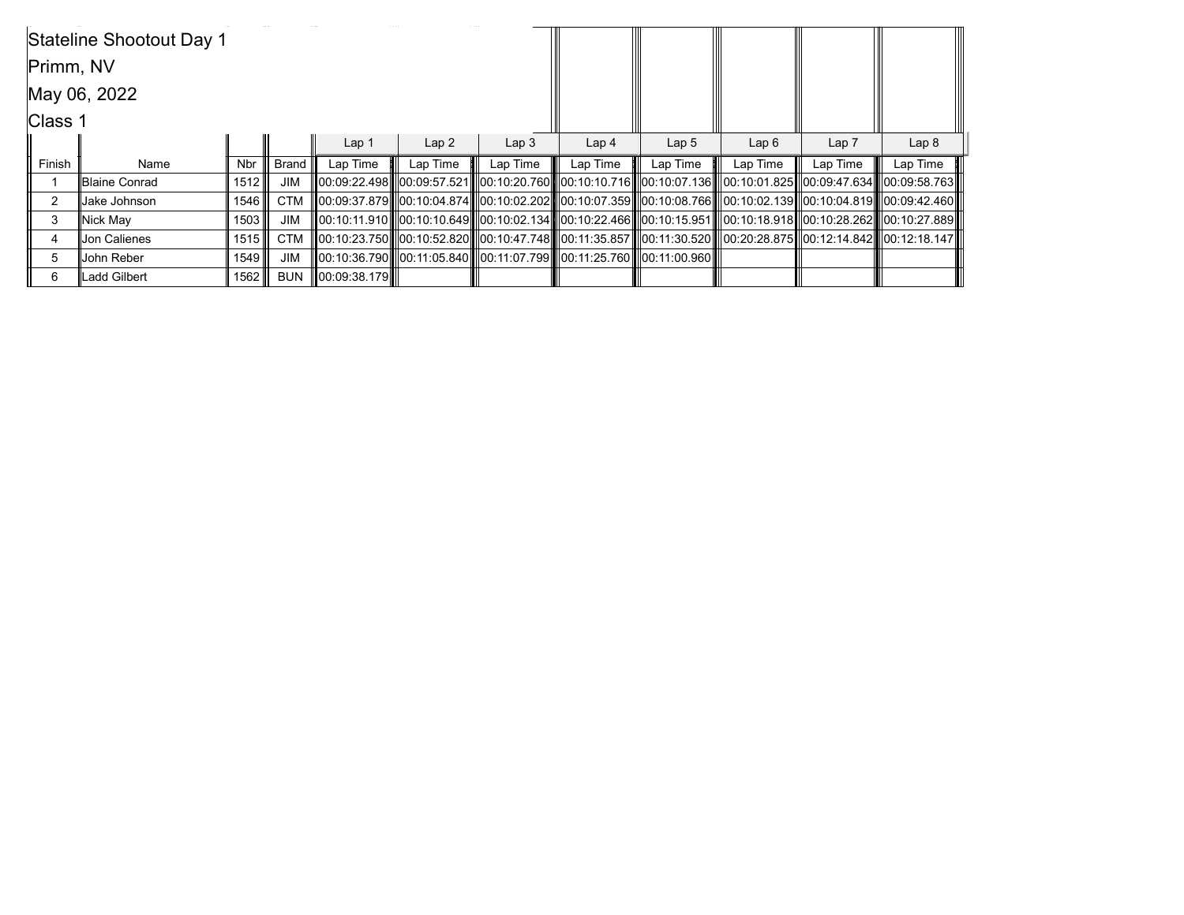|           | Stateline Shootout Day 1 |            |              |                  |                  |                                                                              |                  |                  |                                                                                                                                   |          |                  |
|-----------|--------------------------|------------|--------------|------------------|------------------|------------------------------------------------------------------------------|------------------|------------------|-----------------------------------------------------------------------------------------------------------------------------------|----------|------------------|
| Primm, NV |                          |            |              |                  |                  |                                                                              |                  |                  |                                                                                                                                   |          |                  |
|           | May 06, 2022             |            |              |                  |                  |                                                                              |                  |                  |                                                                                                                                   |          |                  |
| Class 1   |                          |            |              |                  |                  |                                                                              |                  |                  |                                                                                                                                   |          |                  |
|           |                          |            |              | Lap <sub>1</sub> | Lap <sub>2</sub> | Lap <sub>3</sub>                                                             | Lap <sub>4</sub> | Lap <sub>5</sub> | Lap6                                                                                                                              | Lap 7    | Lap <sub>8</sub> |
| Finish    | Name                     | <b>Nbr</b> | <b>Brand</b> | Lap Time         | Lap Time         | Lap Time                                                                     | Lap Time         | Lap Time         | Lap Time                                                                                                                          | Lap Time | Lap Time         |
|           | Blaine Conrad            | 1512       | <b>JIM</b>   |                  |                  |                                                                              |                  |                  |                                                                                                                                   |          |                  |
| 2         | Jake Johnson             | 1546       | <b>CTM</b>   |                  |                  |                                                                              |                  |                  | III00:09:37.879III00:10:04.874IIIl00:10:02.202IIIl00:10:07.359IIIl00:10:08.766IIII00:10:02.139III00:10:04.819IIIl00:09:42.460III  |          |                  |
| 3         | Nick May                 | 1503       | <b>JIM</b>   |                  |                  |                                                                              |                  |                  | III00:10:11.910IIII00:10:10.649IIII00:10:02.134IIII00:10:22.466IIII00:10:15.951IIII00:10:18.918III00:10:28.262IIII00:10:27.889III |          |                  |
| 4         | Jon Calienes             | 1515       | <b>CTM</b>   |                  |                  |                                                                              |                  |                  | 00:10:23.750  00:10:52.820  00:10:47.748  00:11:35.857  00:11:30.520  00:20:28.875  00:12:14.842  00:12:18.147                    |          |                  |
| 5         | Uohn Reber               | 1549       | <b>JIM</b>   |                  |                  | [[00:10:36.790][[00:11:05.840][[00:11:07.799][[00:11:25.760][[00:11:00.960][ |                  |                  |                                                                                                                                   |          |                  |
| 6         | <b>Ladd Gilbert</b>      | 1562       | <b>BUN</b>   | 00:09:38.179     |                  |                                                                              |                  |                  |                                                                                                                                   |          |                  |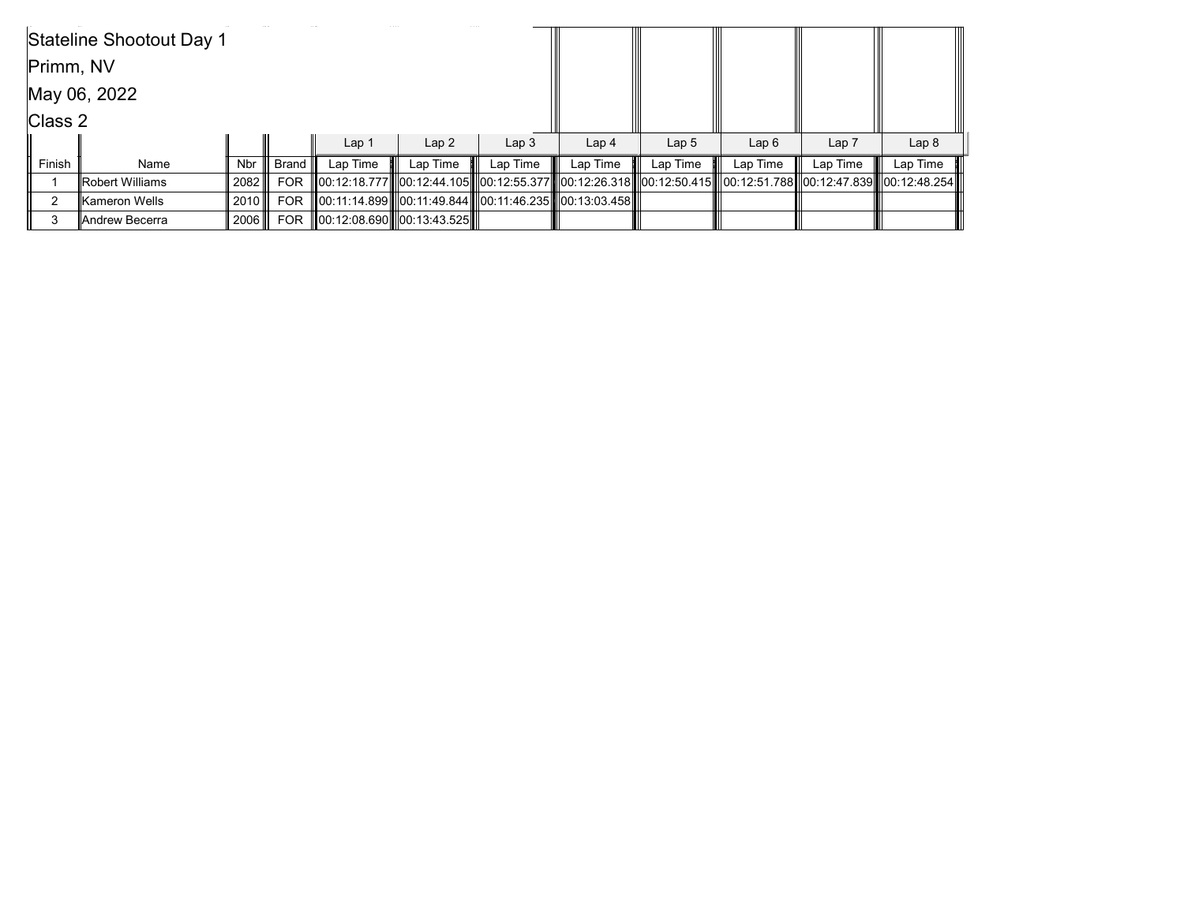|           | Stateline Shootout Day 1 |        |                 |                  |                            |                  |                                                        |                  |                                                                                                                |                  |                  |
|-----------|--------------------------|--------|-----------------|------------------|----------------------------|------------------|--------------------------------------------------------|------------------|----------------------------------------------------------------------------------------------------------------|------------------|------------------|
| Primm, NV |                          |        |                 |                  |                            |                  |                                                        |                  |                                                                                                                |                  |                  |
|           | May 06, 2022             |        |                 |                  |                            |                  |                                                        |                  |                                                                                                                |                  |                  |
| Class 2   |                          |        |                 |                  |                            |                  |                                                        |                  |                                                                                                                |                  |                  |
|           |                          |        |                 | Lap <sub>1</sub> | Lap2                       | Lap <sub>3</sub> | Lap <sub>4</sub>                                       | Lap <sub>5</sub> | Lap6                                                                                                           | Lap <sub>7</sub> | Lap <sub>8</sub> |
| Finish    | Name                     | Nbr    | ∣ Brand ∥       | Lap Time         | Lap Time                   | Lap Time         | Lap Time                                               | Lap Time         | Lap Time                                                                                                       | Lap Time         | Lap Time         |
|           | Robert Williams          | 2082 ⊪ | <b>FOR</b>      |                  |                            |                  |                                                        |                  | 00:12:18.777  00:12:44.105  00:12:55.377  00:12:26.318  00:12:50.415  00:12:51.788  00:12:47.839  00:12:48.254 |                  |                  |
| ົ         | lKameron Wells           | 2010 ⊪ | <b>FOR</b>      |                  |                            |                  | 00:11:14.899  00:11:49.844  00:11:46.235  00:13:03.458 |                  |                                                                                                                |                  |                  |
|           | lAndrew Becerra          |        | 2006 <b>FOR</b> |                  | 00:12:08.690  00:13:43.525 |                  |                                                        |                  |                                                                                                                |                  |                  |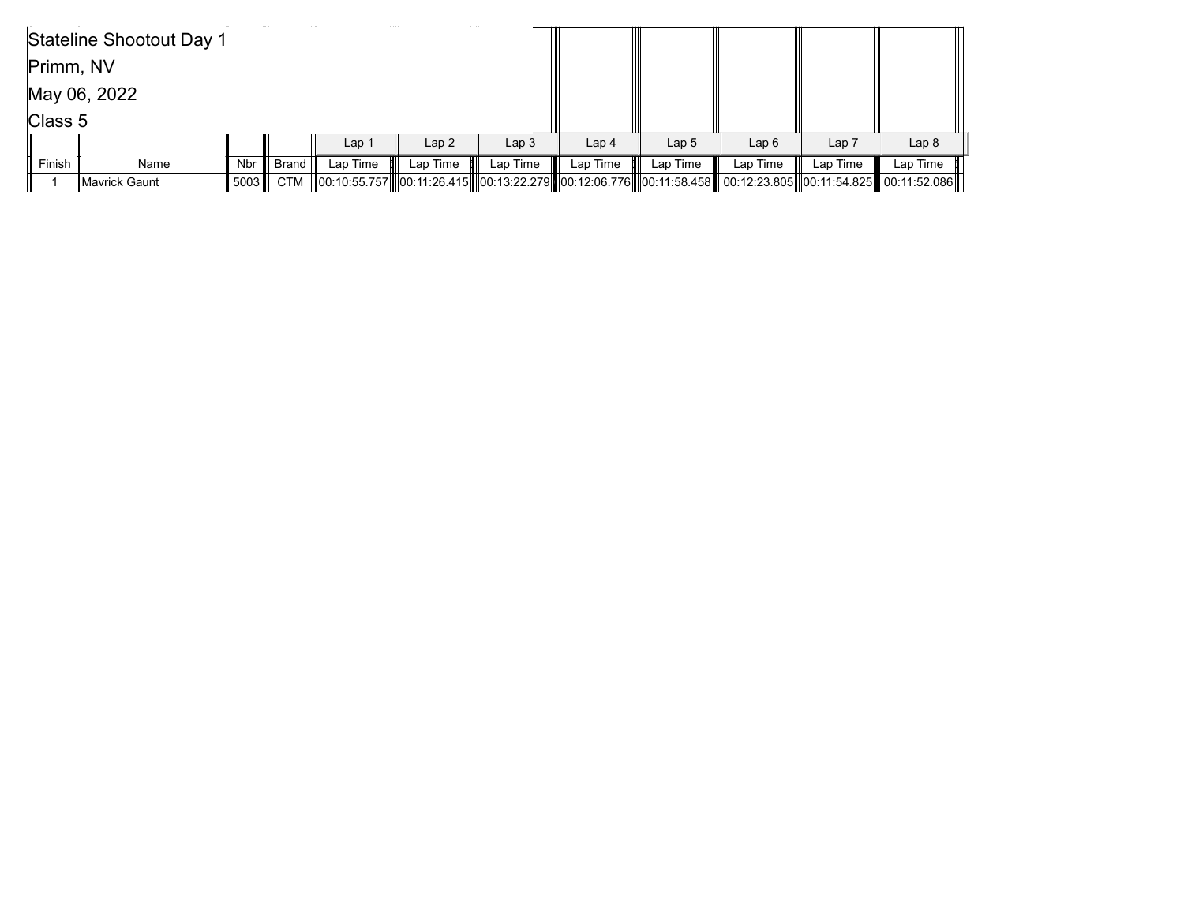|                 | Stateline Shootout Day 1 |      |         |                                                                                                                      |          |                  |                  |                  |          |                  |                  |
|-----------------|--------------------------|------|---------|----------------------------------------------------------------------------------------------------------------------|----------|------------------|------------------|------------------|----------|------------------|------------------|
| Primm, NV       |                          |      |         |                                                                                                                      |          |                  |                  |                  |          |                  |                  |
|                 | May 06, 2022             |      |         |                                                                                                                      |          |                  |                  |                  |          |                  |                  |
| $\vert$ Class 5 |                          |      |         |                                                                                                                      |          |                  |                  |                  |          |                  |                  |
|                 |                          |      |         | Lap <sub>1</sub>                                                                                                     | Lap2     | Lap <sub>3</sub> | Lap <sub>4</sub> | Lap <sub>5</sub> | Lap6     | Lap <sub>7</sub> | Lap <sub>8</sub> |
| Finish          | Name                     | Nbr  | Brand I | Lap Time                                                                                                             | Lap Time | Lap Time         | Lap Time         | Lap Time         | Lap Time | Lap Time         | Lap Time         |
|                 | <b>∥Mavrick Gaunt</b>    | 5003 |         | CTM   00:10:55.757  00:11:26.415  00:13:22.279  00:12:06.776  00:11:58.458  00:12:23.805  00:11:54.825  00:11:52.086 |          |                  |                  |                  |          |                  |                  |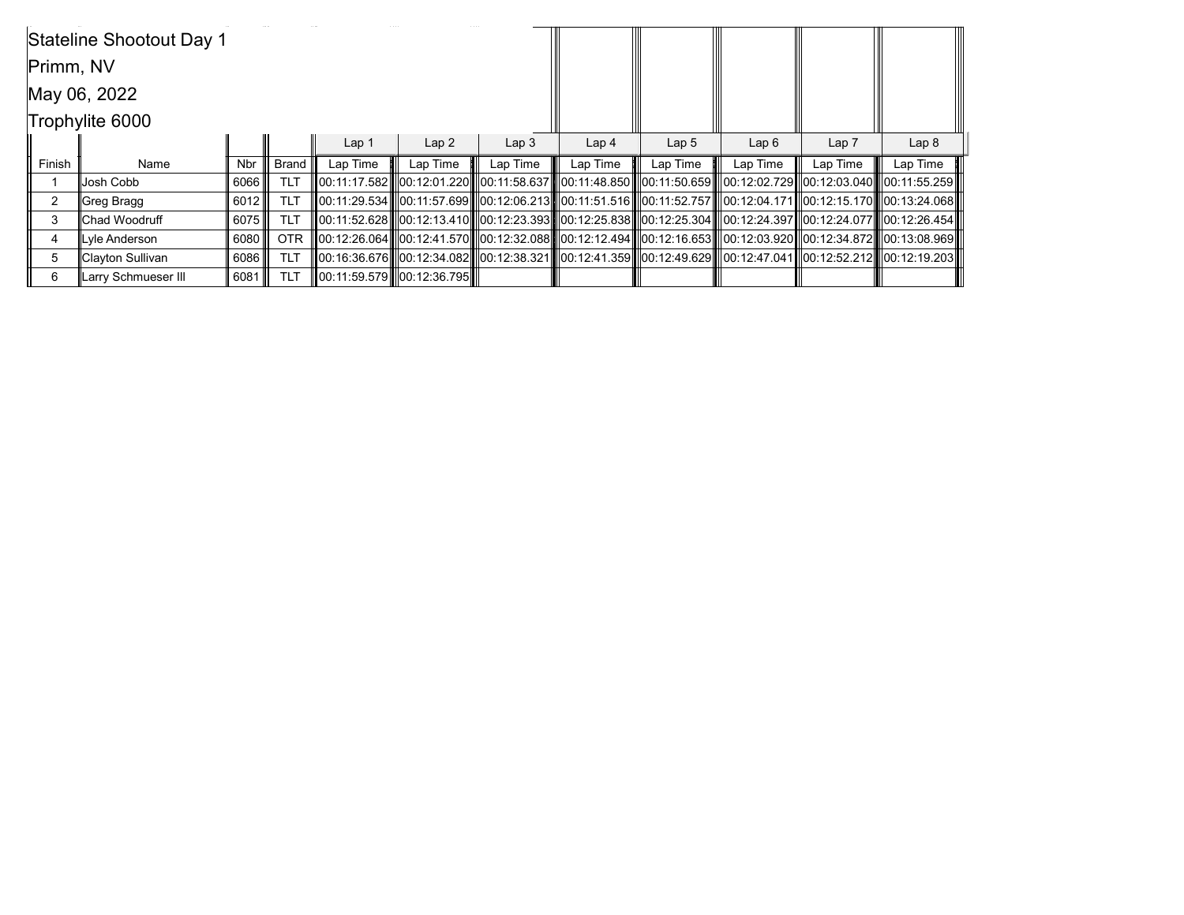|           | Stateline Shootout Day 1 |            |                      |                  |                               |                  |                                                                                                                             |                  |          |          |                  |
|-----------|--------------------------|------------|----------------------|------------------|-------------------------------|------------------|-----------------------------------------------------------------------------------------------------------------------------|------------------|----------|----------|------------------|
| Primm, NV |                          |            |                      |                  |                               |                  |                                                                                                                             |                  |          |          |                  |
|           | May 06, 2022             |            |                      |                  |                               |                  |                                                                                                                             |                  |          |          |                  |
|           | Trophylite 6000          |            |                      |                  |                               |                  |                                                                                                                             |                  |          |          |                  |
|           |                          |            |                      | Lap <sub>1</sub> | Lap2                          | Lap <sub>3</sub> | Lap <sub>4</sub>                                                                                                            | Lap <sub>5</sub> | Lap6     | Lap 7    | Lap <sub>8</sub> |
| Finish    | Name                     | <b>Nbr</b> | , Brand <sup>∤</sup> | Lap Time         | Lap Time                      | Lap Time         | Lap Time                                                                                                                    | Lap Time         | Lap Time | Lap Time | Lap Time         |
|           | Josh Cobb                | 6066       | <b>TLT</b>           |                  |                               |                  | ll00:11:17.582 ll00:12:01.220 ll00:11:58.637 ll00:11:48.850 ll00:11:50.659 ll00:12:02.729 ll00:12:03.040 ll00:11:55.259 l   |                  |          |          |                  |
| 2         | Greg Bragg               | 6012       | <b>TLT</b>           |                  |                               |                  | 00:11:29.534    00:11:57.699    00:12:06.213    00:11:51.516    00:11:52.757    00:12:04.171   00:12:15.170    00:13:24.068 |                  |          |          |                  |
| 3         | lChad Woodruff           | 6075       | <b>TLT</b>           |                  |                               |                  | 00:11:52.628   00:12:13.410   00:12:23.393   00:12:25.838    00:12:25.304   00:12:24.397   00:12:24.077    00:12:26.454     |                  |          |          |                  |
| 4         | Lyle Anderson            | 6080       | <b>OTR</b>           |                  |                               |                  | 00:12:26.064  00:12:41.570  00:12:32.088  00:12:12.494  00:12:16.653   00:12:03.920  00:12:34.872  00:13:08.969             |                  |          |          |                  |
| 5         | Clayton Sullivan         | 6086       | <b>TLT</b>           |                  |                               |                  | 00:16:36.676   00:12:34.082   00:12:38.321   00:12:41.359   00:12:49.629   00:12:47.041  00:12:52.212   00:12:19.203        |                  |          |          |                  |
| 6         | Larry Schmueser III      | 6081       | <b>TLT</b>           |                  | ∥00:11:59.579   ∣00:12:36.795 |                  |                                                                                                                             |                  |          |          |                  |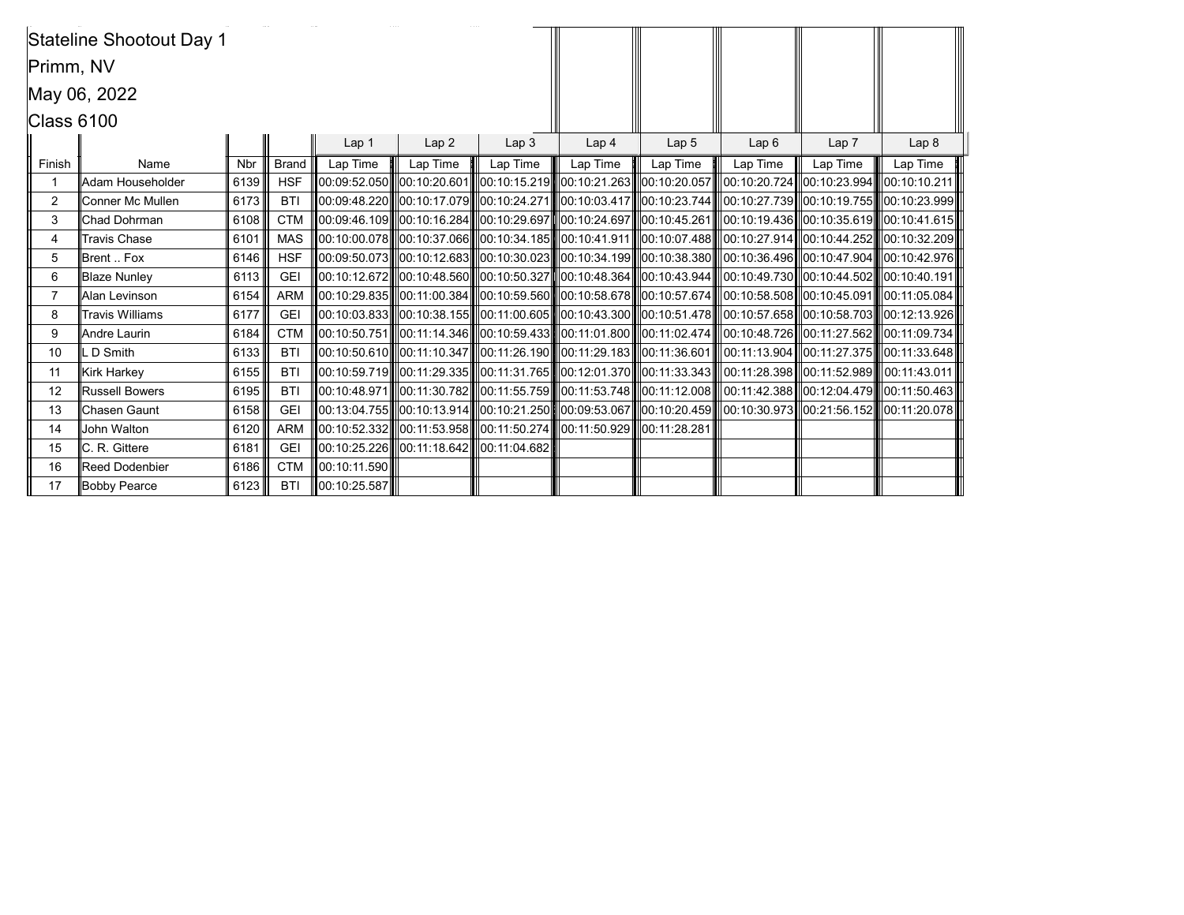|                | Stateline Shootout Day 1 |            |              |              |                                                    |                  |                                                                                                                                                         |                  |          |          |                  |
|----------------|--------------------------|------------|--------------|--------------|----------------------------------------------------|------------------|---------------------------------------------------------------------------------------------------------------------------------------------------------|------------------|----------|----------|------------------|
| Primm, NV      |                          |            |              |              |                                                    |                  |                                                                                                                                                         |                  |          |          |                  |
|                | May 06, 2022             |            |              |              |                                                    |                  |                                                                                                                                                         |                  |          |          |                  |
| Class 6100     |                          |            |              |              |                                                    |                  |                                                                                                                                                         |                  |          |          |                  |
|                |                          |            |              | Lap 1        | Lap2                                               | Lap <sub>3</sub> | Lap <sub>4</sub>                                                                                                                                        | Lap <sub>5</sub> | Lap6     | Lap 7    | Lap <sub>8</sub> |
| Finish         | Name                     | <b>Nbr</b> | <b>Brand</b> | Lap Time     | Lap Time                                           | Lap Time         | Lap Time                                                                                                                                                | Lap Time         | Lap Time | Lap Time | Lap Time         |
| -1             | Adam Householder         | 6139       | <b>HSF</b>   |              |                                                    |                  | 00:09:52.050   00:10:20.601   00:10:15.219   00:10:21.263   00:10:20.057   00:10:20.724  00:10:23.994   00:10:10:21                                     |                  |          |          |                  |
| 2              | Conner Mc Mullen         | 6173       | <b>BTI</b>   |              |                                                    |                  | 00:09:48.220   00:10:17.079   00:10:24.271   00:10:03.417   00:10:23.744   00:10:27.739   00:10:19.755   00:10:23.999                                   |                  |          |          |                  |
| 3              | Chad Dohrman             | 6108       | <b>CTM</b>   |              |                                                    |                  | 00:09:46.109   00:10:16.284   00:10:29.697   00:10:24.697   00:10:45.261   00:10:49.436  00:10:35.619   00:10:41.615                                    |                  |          |          |                  |
| 4              | <b>Travis Chase</b>      | 6101       | <b>MAS</b>   |              |                                                    |                  | 00:10:00.078   00:10:37.066   00:10:34.185   00:10:41.911   00:10:07.488   00:10:27.914  00:10:44.252   00:10:32.209                                    |                  |          |          |                  |
| 5              | Brent  Fox               | 6146       | <b>HSF</b>   |              |                                                    |                  | 00:09:50.073   00:10:12.683   00:10:30.023   00:10:34.199   00:10:38.380   00:10:36.496   00:10:47.904   00:10:42.976                                   |                  |          |          |                  |
| 6              | <b>Blaze Nunley</b>      | 6113       | <b>GEI</b>   |              |                                                    |                  | 00:10:44.502 00:10:44.500 00:10:46.560 00:10:50.327 00:10:48.364 00:10:43.944 00:10:49.730 00:10:44.502 00:10:40.191                                    |                  |          |          |                  |
| $\overline{7}$ | Alan Levinson            | 6154       | <b>ARM</b>   |              |                                                    |                  | 00:10:29.835    00:11:00.384    00:10:59.560    00:10:58.678    00:10:57.674    00:10:58.508    00:10:45.091    00:11:05.084                            |                  |          |          |                  |
| 8              | <b>Travis Williams</b>   | 6177       | <b>GEI</b>   |              |                                                    |                  | $\ 00:10:03.833\ $ $\ 00:10:38.155\ $ $\ 00:11:00.605\ $ $\ 00:10:43.300\ $ $\ 00:10:51.478\ $ $\ 00:10:57.658\ $ $\ 00:10:58.703\ $ $\ 00:12:13.926\ $ |                  |          |          |                  |
| 9              | Andre Laurin             | 6184       | <b>CTM</b>   |              |                                                    |                  | 00:10:50.751  00:11:14.346  00:10:59.433  00:11:01.800  00:11:02.474  00:10:48.726  00:11:27.562  00:11:09.734                                          |                  |          |          |                  |
| 10             | LD Smith                 | 6133       | <b>BTI</b>   |              |                                                    |                  | 00:10:50.610   00:11:10.347   00:11:26.190   00:11:29.183   00:11:36.601   00:11:13.904  00:11:27.375   00:11:33.648                                    |                  |          |          |                  |
| 11             | <b>Kirk Harkey</b>       | 6155       | <b>BTI</b>   |              |                                                    |                  | 00:10:59.719   00:11:29.335   00:11:31.765   00:12:01.370   00:11:33.343   00:11:28.398   00:11:52.989   00:11:43.011                                   |                  |          |          |                  |
| 12             | <b>Russell Bowers</b>    | 6195       | <b>BTI</b>   |              |                                                    |                  | $\ 00:10:48.971\ $ $\ 00:11:30.782\ $ $\ 00:11:55.759\ $ $\ 00:11:53.748\ $ $\ 00:11:12.008\ $ $\ 00:11:42.388\ $ $\ 00:12:04.479\ $ $\ 00:11:50.463\ $ |                  |          |          |                  |
| 13             | Chasen Gaunt             | 6158       | <b>GEI</b>   |              |                                                    |                  | $\ 00:13:04.755\ $ $\ 00:10:13.914\ $ $\ 00:10:21.250\ $ $\ 00:09:53.067\ $ $\ 00:10:20.459\ $ $\ 00:10:30.973\ $ $\ 00:21:56.152\ $ $\ 00:11:20.078\ $ |                  |          |          |                  |
| 14             | John Walton              | 6120       | <b>ARM</b>   |              |                                                    |                  | ∥00:10:52.332   00:11:53.958    00:11:50.274    00:11:50.929    00:11:28.281                                                                            |                  |          |          |                  |
| 15             | C. R. Gittere            | 6181       | <b>GEI</b>   |              | lll00:10:25.226llll00:11:18.642lllll00:11:04.682ll |                  |                                                                                                                                                         |                  |          |          |                  |
| 16             | <b>Reed Dodenbier</b>    | 6186       | <b>CTM</b>   | 00:10:11.590 |                                                    |                  |                                                                                                                                                         |                  |          |          |                  |
| 17             | Bobby Pearce             | 6123       | <b>BTI</b>   | 00:10:25.587 |                                                    |                  |                                                                                                                                                         |                  |          |          |                  |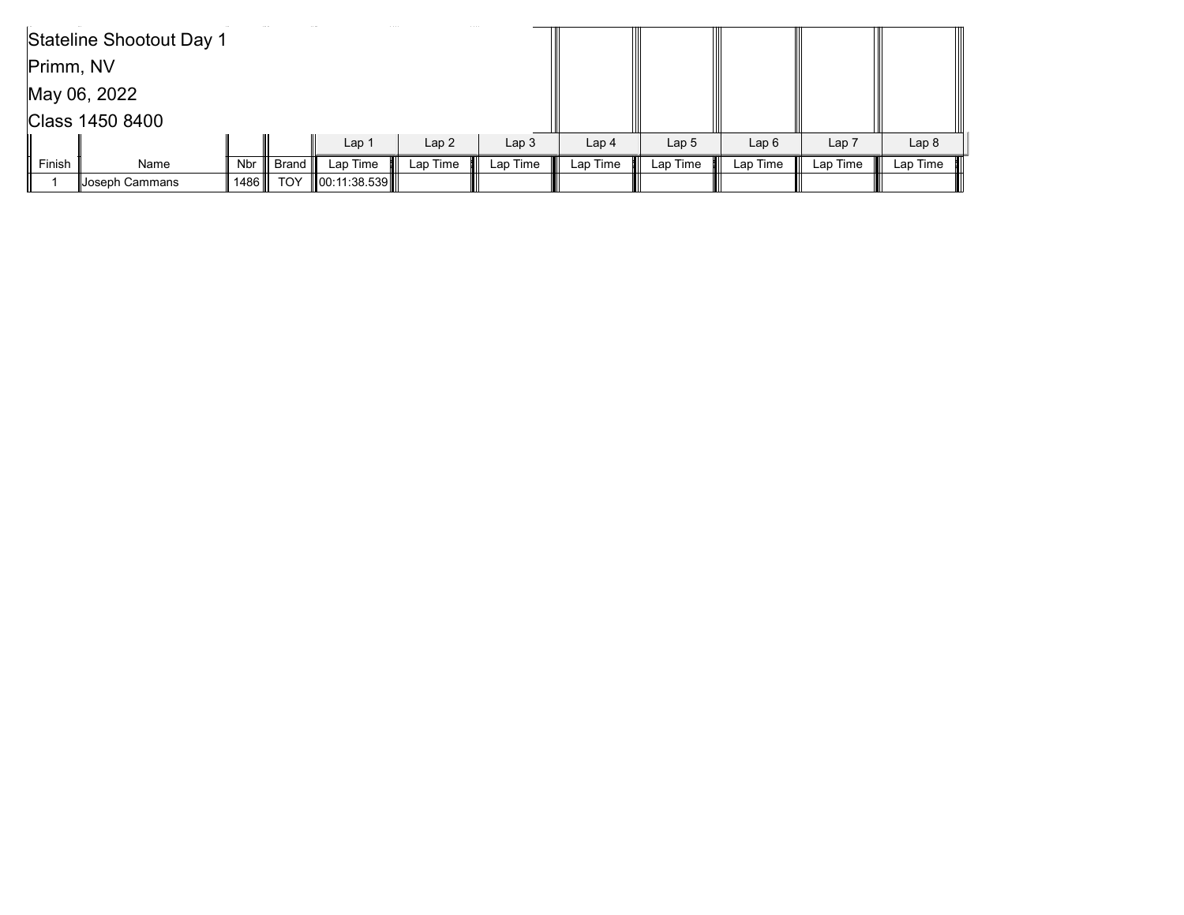|           | Stateline Shootout Day 1 |            |            |                    |                  |                  |                  |                  |          |                  |                  |
|-----------|--------------------------|------------|------------|--------------------|------------------|------------------|------------------|------------------|----------|------------------|------------------|
| Primm, NV |                          |            |            |                    |                  |                  |                  |                  |          |                  |                  |
|           | May 06, 2022             |            |            |                    |                  |                  |                  |                  |          |                  |                  |
|           | Class 1450 8400          |            |            |                    |                  |                  |                  |                  |          |                  |                  |
|           |                          |            |            | Lap <sub>1</sub>   | Lap <sub>2</sub> | Lap <sub>3</sub> | Lap <sub>4</sub> | Lap <sub>5</sub> | Lap6     | Lap <sub>7</sub> | Lap <sub>8</sub> |
| Finish    | Name                     | <b>Nbr</b> | Brand      | Lap Time           | Lap Time         | Lap Time         | Lap Time         | Lap Time         | Lap Time | Lap Time         | Lap Time         |
|           | ∥Joseph Cammans          | 1486       | <b>TOY</b> | $\ 00:11:38.539\ $ |                  |                  |                  |                  |          |                  |                  |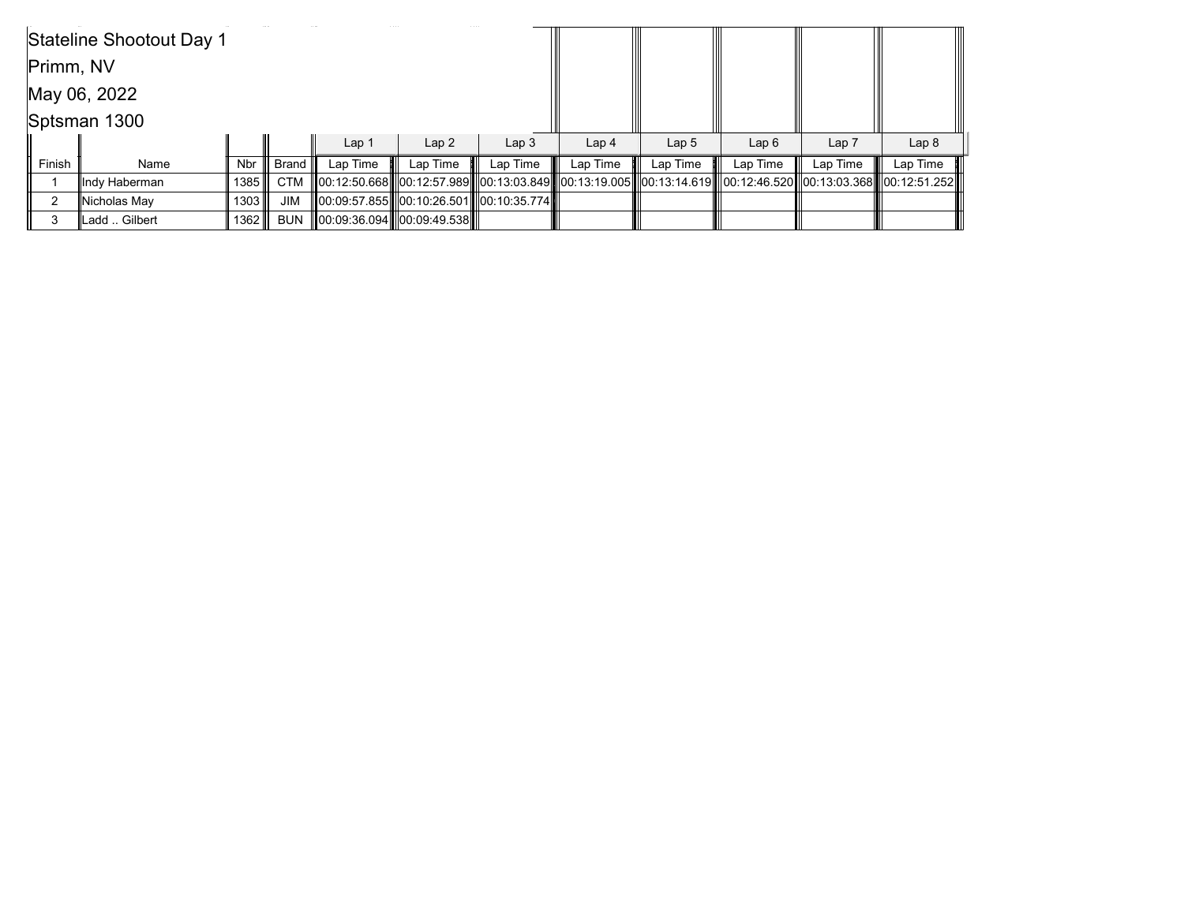|           | Stateline Shootout Day 1 |        |            |                  |                            |                                          |                  |                  |                                                                                                                             |                  |                  |
|-----------|--------------------------|--------|------------|------------------|----------------------------|------------------------------------------|------------------|------------------|-----------------------------------------------------------------------------------------------------------------------------|------------------|------------------|
| Primm, NV |                          |        |            |                  |                            |                                          |                  |                  |                                                                                                                             |                  |                  |
|           | May 06, 2022             |        |            |                  |                            |                                          |                  |                  |                                                                                                                             |                  |                  |
|           | Sptsman 1300             |        |            |                  |                            |                                          |                  |                  |                                                                                                                             |                  |                  |
|           |                          |        |            | Lap <sub>1</sub> | Lap2                       | Lap <sub>3</sub>                         | Lap <sub>4</sub> | Lap <sub>5</sub> | Lap6                                                                                                                        | Lap <sub>7</sub> | Lap <sub>8</sub> |
| Finish    | Name                     | Nbr l  | ∣ Brand ∥  | Lap Time         | Lap Time                   | Lap Time                                 | Lap Time         | Lap Time         | Lap Time                                                                                                                    | Lap Time         | Lap Time         |
|           | llndy Haberman           | 1385   | <b>CTM</b> |                  |                            |                                          |                  |                  | 00:12:50.668   00:12:57.989    00:13:03.849    00:13:19.005    00:13:14.619    00:12:46.520    00:13:03.368    00:12:51.252 |                  |                  |
| າ         | Nicholas May             | 1303 ∥ | <b>JIM</b> |                  |                            | 00:09:57.855  00:10:26.501  00:10:35.774 |                  |                  |                                                                                                                             |                  |                  |
|           | Ladd  Gilbert            | 1362 ∥ | <b>BUN</b> |                  | 00:09:36.094  00:09:49.538 |                                          |                  |                  |                                                                                                                             |                  |                  |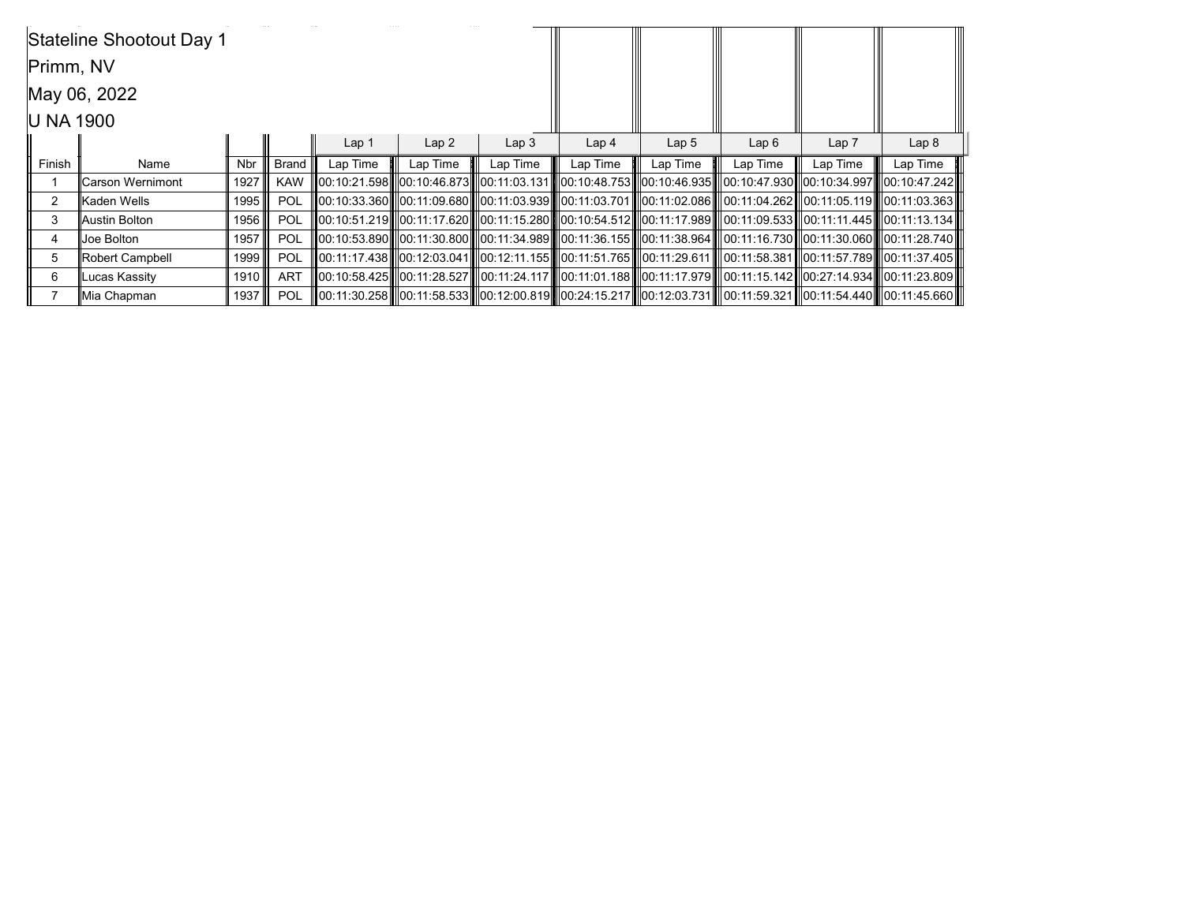|           | Stateline Shootout Day 1 |            |                 |                  |                  |                  |                                                                                                                                   |                  |          |                  |                  |
|-----------|--------------------------|------------|-----------------|------------------|------------------|------------------|-----------------------------------------------------------------------------------------------------------------------------------|------------------|----------|------------------|------------------|
| Primm, NV |                          |            |                 |                  |                  |                  |                                                                                                                                   |                  |          |                  |                  |
|           | May 06, 2022             |            |                 |                  |                  |                  |                                                                                                                                   |                  |          |                  |                  |
| U NA 1900 |                          |            |                 |                  |                  |                  |                                                                                                                                   |                  |          |                  |                  |
|           |                          |            |                 | Lap <sub>1</sub> | Lap <sub>2</sub> | Lap <sub>3</sub> | Lap <sub>4</sub>                                                                                                                  | Lap <sub>5</sub> | Lap6     | Lap <sub>7</sub> | Lap <sub>8</sub> |
| Finish    | Name                     | <b>Nbr</b> | Brand I         | Lap Time         | Lap Time         | Lap Time         | Lap Time                                                                                                                          | Lap Time         | Lap Time | Lap Time         | Lap Time         |
|           | <b>Carson Wernimont</b>  | 1927       | <b>KAW</b>      |                  |                  |                  | 00:10:21.598  00:10:46.873   00:11:03.131   00:10:48.753   00:10:46.935   00:10:47.930  00:10:34.997   00:10:47.242               |                  |          |                  |                  |
| 2         | Kaden Wells              | 1995       | <b>POL</b>      |                  |                  |                  | III00:10:33.360IIII00:11:09.680IIII00:11:03.939IIII00:11:03.701IIII00:11:02.086IIII00:11:04.262III00:11:05.119IIII00:11:03.363II  |                  |          |                  |                  |
| 3         | Austin Bolton            | 1956       | POL             |                  |                  |                  | III00:10:51.219IIII00:11:17.620IIII00:11:15.280IIII00:10:54.512IIII00:11:17.989IIII00:11:09.533III00:11:11.445IIII00:11:13.134III |                  |          |                  |                  |
| 4         | Joe Bolton               | 1957       | POL             |                  |                  |                  | III00:10:53.890IIII00:11:30.800IIII00:11:34.989IIII00:11:36.155IIII00:11:38.964IIII00:11:16.730III00:11:30.060IIII00:11:28.740III |                  |          |                  |                  |
| 5         | Robert Campbell          | 1999       | POL             |                  |                  |                  | III00:11:17.438III00:12:03.041IIIl00:12:11.155IIII00:11:51.765IIII00:11:29.611IIII00:11:58.381III00:11:57.789IIII00:11:37.405III  |                  |          |                  |                  |
| 6         | Lucas Kassity            | 1910       | ART             |                  |                  |                  | 00:10:58.425   00:11:28.527   00:11:24.117    00:11:01.188    00:11:17.979    00:11:15.142   00:27:14.934   00:11:23.809          |                  |          |                  |                  |
|           | Mia Chapman              |            | 1937 <b>POL</b> |                  |                  |                  | 100:11:30.258 100:11:58.533 100:12:00.819 100:24:15.217 100:12:03.731 100:11:59.321 100:11:54.440 100:11:45.660                   |                  |          |                  |                  |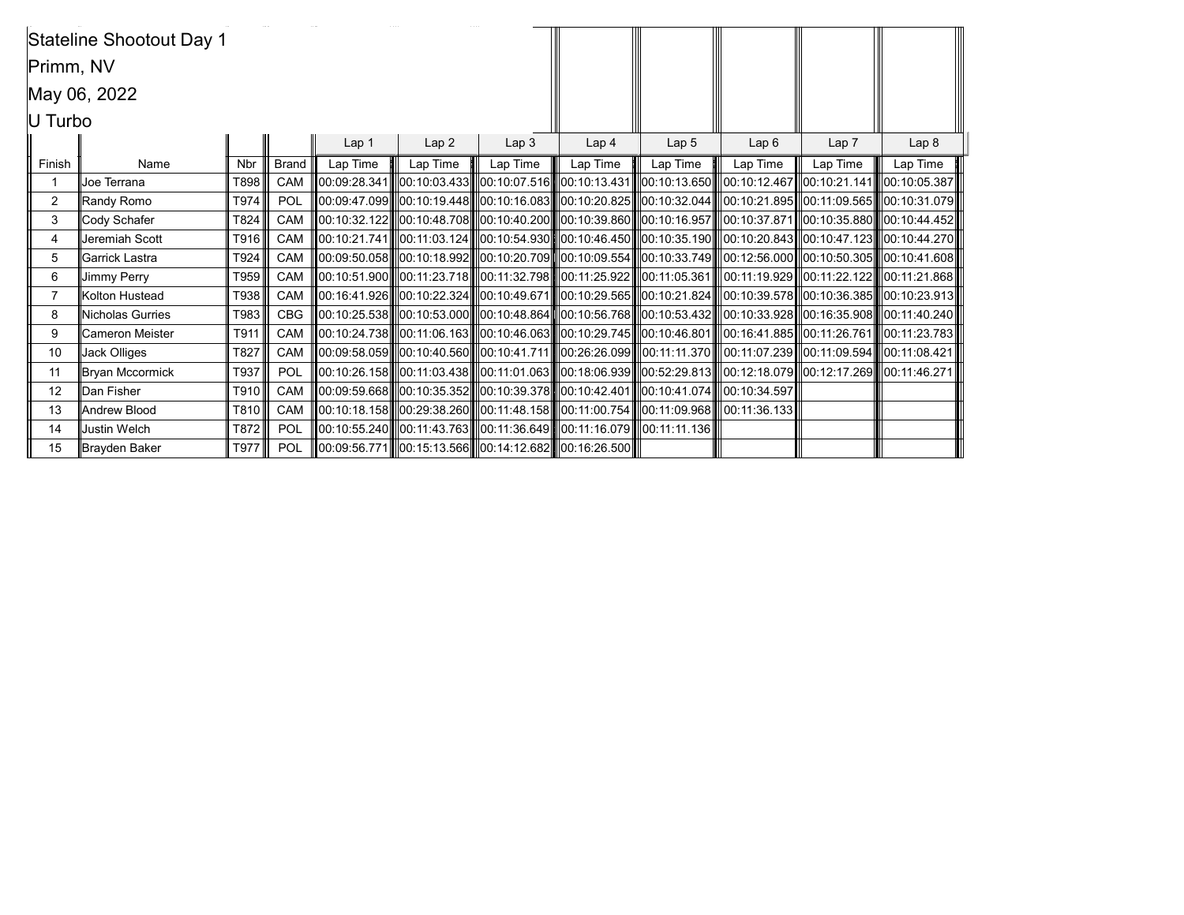|           | Stateline Shootout Day 1 |            |              |                  |          |                  |                                                                                     |                  |                                                                                                                                                         |                  |                  |
|-----------|--------------------------|------------|--------------|------------------|----------|------------------|-------------------------------------------------------------------------------------|------------------|---------------------------------------------------------------------------------------------------------------------------------------------------------|------------------|------------------|
| Primm, NV |                          |            |              |                  |          |                  |                                                                                     |                  |                                                                                                                                                         |                  |                  |
|           | May 06, 2022             |            |              |                  |          |                  |                                                                                     |                  |                                                                                                                                                         |                  |                  |
| U Turbo   |                          |            |              |                  |          |                  |                                                                                     |                  |                                                                                                                                                         |                  |                  |
|           |                          |            |              | Lap <sub>1</sub> | Lap2     | Lap <sub>3</sub> | Lap <sub>4</sub>                                                                    | Lap <sub>5</sub> | Lap6                                                                                                                                                    | Lap <sub>7</sub> | Lap <sub>8</sub> |
| Finish    | Name                     | <b>Nbr</b> | <b>Brand</b> | Lap Time         | Lap Time | Lap Time         | Lap Time                                                                            | Lap Time         | Lap Time                                                                                                                                                | Lap Time         | Lap Time         |
|           | Joe Terrana              | T898       | CAM          |                  |          |                  |                                                                                     |                  | 00:09:28.341   00:10:03.433   00:10:07.516   00:10:13.431   00:10:13.650   00:10:12.467  00:10:21.141   00:10:05.387                                    |                  |                  |
| 2         | Randy Romo               | T974       | POL          |                  |          |                  |                                                                                     |                  | $\ 00:09:47.099\ $ $\ 00:10:19.448\ $ $\ 00:10:16.083\ $ $\ 00:10:20.825\ $ $\ 00:10:32.044\ $ $\ 00:10:21.895\ $ $\ 00:11:09.565\ $ $\ 00:10:31.079\ $ |                  |                  |
| 3         | Cody Schafer             | T824       | CAM          |                  |          |                  |                                                                                     |                  | 00:10:32.122  00:10:48.708  00:10:40.200  00:10:39.860  00:10:16.957  00:10:37.871  00:10:35.880  00:10:44.452                                          |                  |                  |
| 4         | Jeremiah Scott           | T916       | CAM          |                  |          |                  |                                                                                     |                  | 00:10:21.741  00:11:03.124  00:10:54.930  00:10:46.450  00:10:35.190  00:10:20.843  00:10:47.123  00:10:44.270                                          |                  |                  |
| 5         | Garrick Lastra           | T924       | CAM          |                  |          |                  |                                                                                     |                  | 00:09:50.058   00:10:18.992   00:10:20.709   00:10:09.554   00:10:33.749   00:12:56.000  00:10:50.305   00:10:41.608                                    |                  |                  |
| 6         | <b>Jimmy Perry</b>       | T959       | <b>CAM</b>   |                  |          |                  |                                                                                     |                  | 00:10:51.900   00:11:23.718   00:11:32.798   00:11:25.922   00:11:05.361   00:11:19.929  00:11:22.122   00:11:21.868                                    |                  |                  |
| 7         | Kolton Hustead           | T938       | CAM          |                  |          |                  |                                                                                     |                  | 00:16:41.926   00:10:22.324   00:10:49.671   00:10:29.565   00:10:21.824   00:10:39.578   00:10:36.385   00:10:23.913                                   |                  |                  |
| 8         | Nicholas Gurries         | T983       | <b>CBG</b>   |                  |          |                  |                                                                                     |                  | 00:10:25.538   00:10:53.000   00:10:48.864   00:10:56.768   00:10:53.432   00:10:33.928   00:16:35.908   00:11:40.240                                   |                  |                  |
| 9         | <b>Cameron Meister</b>   | T911       | CAM          |                  |          |                  |                                                                                     |                  | 00:10:24.738   00:11:06.163   00:10:46.063   00:10:29.745   00:10:46.801   00:16:41.885  00:11:26.761   00:11:23.783                                    |                  |                  |
| 10        | Jack Olliges             | T827       | <b>CAM</b>   |                  |          |                  |                                                                                     |                  | 00:09:58.059   00:10:40.560   00:10:41.711   00:26:26.099   00:11:11.370    00:11:07.239  00:11:09.594   00:11:08.421                                   |                  |                  |
| 11        | Bryan Mccormick          | T937       | POL          |                  |          |                  |                                                                                     |                  | 00:10:26.158   00:11:03.438   00:11:01.063   00:18:06.939   00:52:29.813   00:12:18.079  00:12:17.269   00:11:46.271                                    |                  |                  |
| 12        | Dan Fisher               | T910       | <b>CAM</b>   |                  |          |                  | 100:09:59.668  00:10:35.352  00:10:39.378  00:10:42.401  00:10:41.074  00:10:34.597 |                  |                                                                                                                                                         |                  |                  |
| 13        | Andrew Blood             | T810       | CAM          |                  |          |                  | 100:10:18.158 00:29:38.260 00:11:48.158 00:11:00.754 00:11:09.968 00:11:36.133      |                  |                                                                                                                                                         |                  |                  |
| 14        | <b>Justin Welch</b>      | T872       | POL          |                  |          |                  | ∥00:10:55.240  ∥00:11:43.763  ∥00:11:36.649  ∥00:11:16.079  ∥00:11:11.136           |                  |                                                                                                                                                         |                  |                  |
| 15        | Brayden Baker            | T977       | POL          |                  |          |                  | 00:09:56.771  00:15:13.566  00:14:12.682  00:16:26.500                              |                  |                                                                                                                                                         |                  |                  |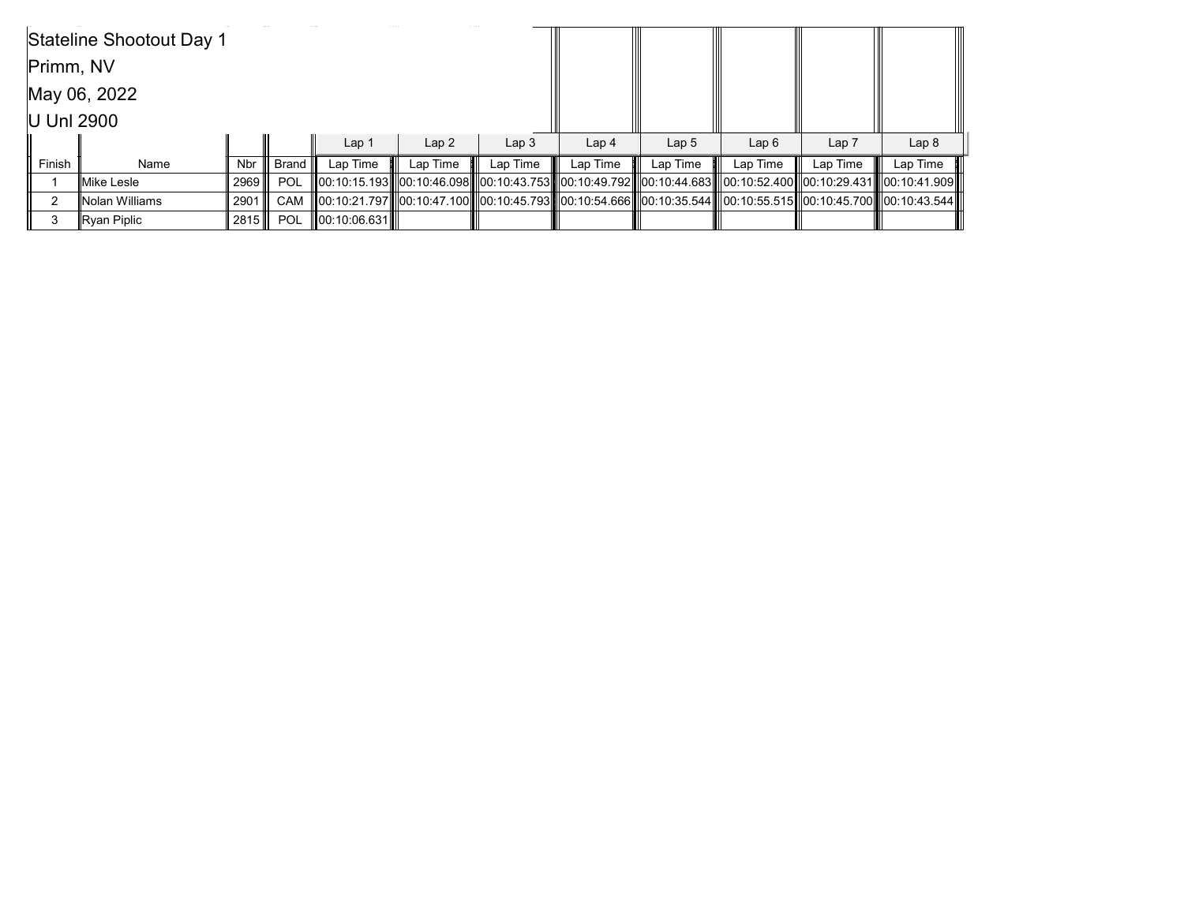|            | Stateline Shootout Day 1 |        |                  |                       |          |                  |                  |                  |                                                                                                                |                  |                  |
|------------|--------------------------|--------|------------------|-----------------------|----------|------------------|------------------|------------------|----------------------------------------------------------------------------------------------------------------|------------------|------------------|
| Primm, NV  |                          |        |                  |                       |          |                  |                  |                  |                                                                                                                |                  |                  |
|            | May 06, 2022             |        |                  |                       |          |                  |                  |                  |                                                                                                                |                  |                  |
| U Unl 2900 |                          |        |                  |                       |          |                  |                  |                  |                                                                                                                |                  |                  |
|            |                          |        |                  | Lap 1                 | Lap2     | Lap <sub>3</sub> | Lap <sub>4</sub> | Lap <sub>5</sub> | Lap6                                                                                                           | Lap <sub>7</sub> | Lap <sub>8</sub> |
| Finish     | Name                     | Nbr l  | ∣ Brand <b>I</b> | Lap Time              | Lap Time | Lap Time         | Lap Time         | Lap Time         | Lap Time                                                                                                       | Lap Time         | Lap Time         |
|            | Mike Lesle               | 2969 ∥ | POL              |                       |          |                  |                  |                  | 00:10:15.193  00:10:46.098  00:10:43.753  00:10:49.792  00:10:44.683  00:10:52.400  00:10:29.431  00:10:41.909 |                  |                  |
| ົ          | Nolan Williams           | 2901   | CAM              |                       |          |                  |                  |                  | 00:10:21.797  00:10:47.100  00:10:45.793  00:10:54.666  00:10:35.544  00:10:55.515  00:10:45.700  00:10:43.544 |                  |                  |
|            | Ryan Piplic              | 2815 ∭ | POL              | <b>IO</b> 0:10:06.631 |          |                  |                  |                  |                                                                                                                |                  |                  |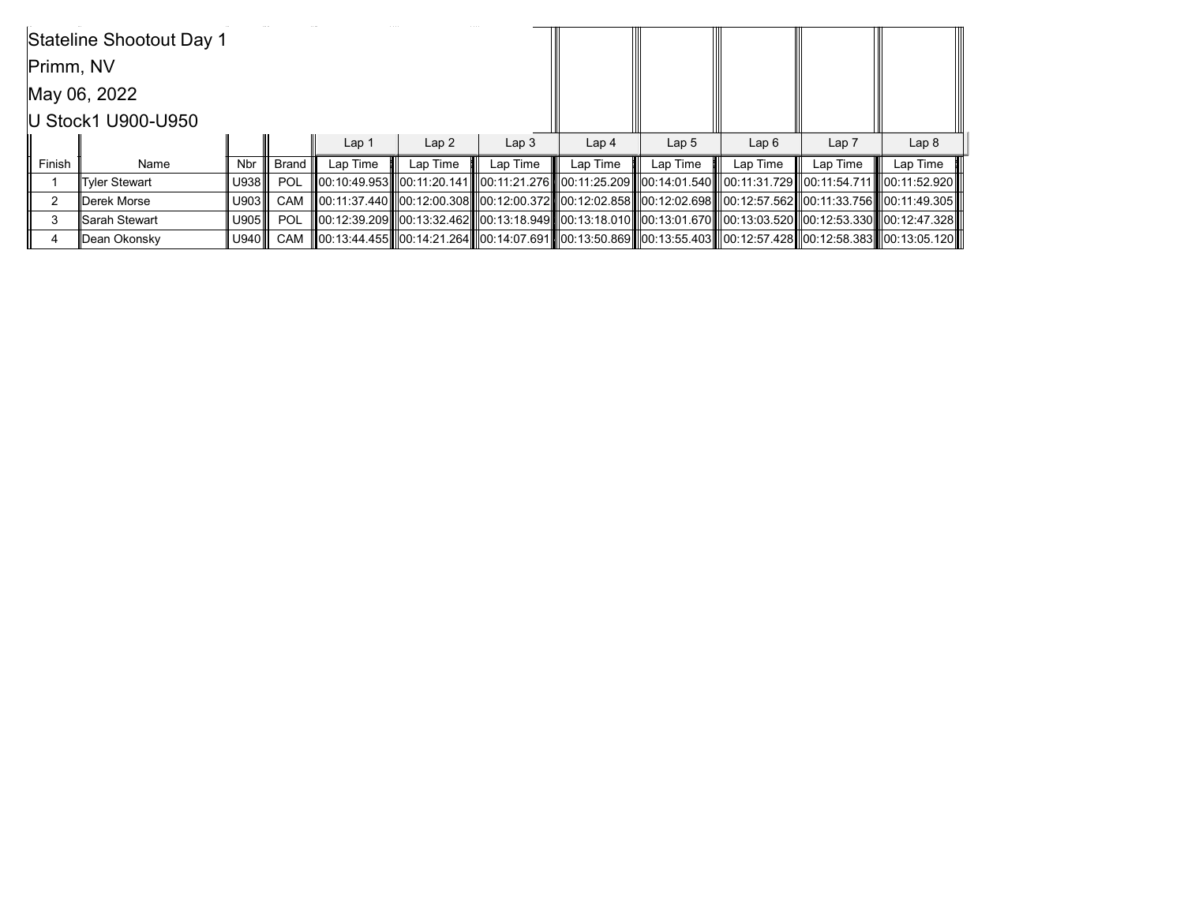| Stateline Shootout Day 1 |                    |            |            |                  |          |                  |                  |                  |                                                                                                                                  |          |                  |
|--------------------------|--------------------|------------|------------|------------------|----------|------------------|------------------|------------------|----------------------------------------------------------------------------------------------------------------------------------|----------|------------------|
| Primm, NV                |                    |            |            |                  |          |                  |                  |                  |                                                                                                                                  |          |                  |
| May 06, 2022             |                    |            |            |                  |          |                  |                  |                  |                                                                                                                                  |          |                  |
|                          | U Stock1 U900-U950 |            |            |                  |          |                  |                  |                  |                                                                                                                                  |          |                  |
|                          |                    |            |            | Lap <sub>1</sub> | Lap2     | Lap <sub>3</sub> | Lap <sub>4</sub> | Lap <sub>5</sub> | Lap6                                                                                                                             | Lap 7    | Lap <sub>8</sub> |
| Finish                   | Name               | <b>Nbr</b> | Brand I    | Lap Time         | Lap Time | Lap Time         | Lap Time         | Lap Time         | Lap Time                                                                                                                         | Lap Time | Lap Time         |
|                          | Tyler Stewart      | U938       | <b>POL</b> |                  |          |                  |                  |                  | III00:10:49.953IIII00:11:20.141IIII00:11:21.276IIII00:11:25.209IIII00:14:01.540IIII00:11:31.729III00:11:54.711IIII00:11:52.920II |          |                  |
| 2                        | Derek Morse        | U903       | CAM        |                  |          |                  |                  |                  | 00:11:37.440  00:12:00.308  00:12:00.372  00:12:02.858  00:12:02.698   00:12:57.562  00:11:33.756   00:11:49.305                 |          |                  |
| 3                        | Sarah Stewart      | U905       | POL        |                  |          |                  |                  |                  | 00:12:39.209   00:13:32.462   00:13:18.949   00:13:18.010   00:13:01.670   00:13:03.520  00:12:53.330   00:12:47.328             |          |                  |
|                          | Dean Okonsky       | U940       | CAM        |                  |          |                  |                  |                  | 00:13:44.455   00:14:21.264  00:14:07.691  00:13:50.869  00:13:55.403   00:12:57.428  00:12:58.383  00:13:05.120                 |          |                  |